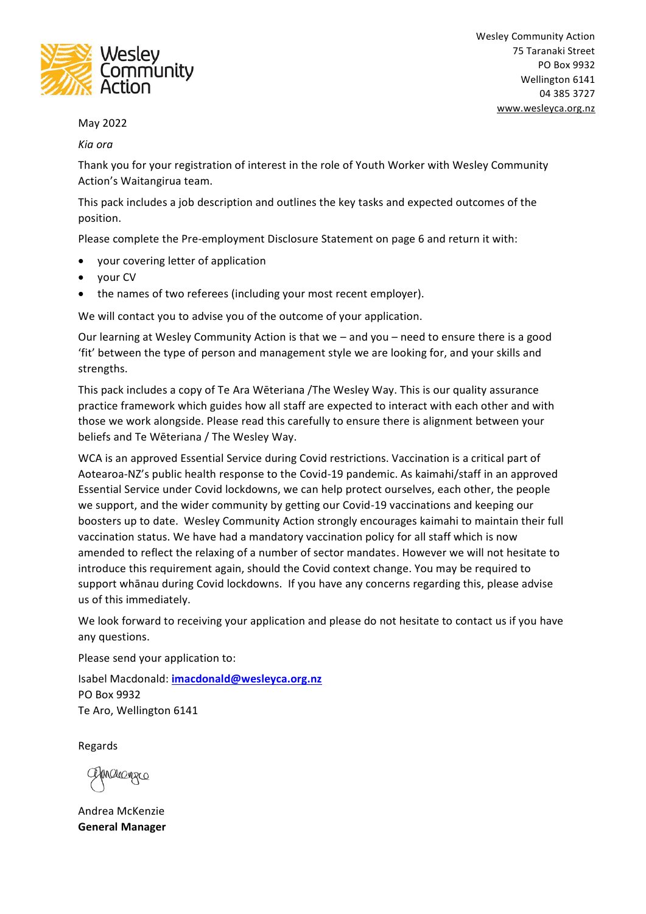

### May 2022

#### *Kia ora*

Thank you for your registration of interest in the role of Youth Worker with Wesley Community Action's Waitangirua team.

This pack includes a job description and outlines the key tasks and expected outcomes of the position.

Please complete the Pre-employment Disclosure Statement on page 6 and return it with:

- your covering letter of application
- your CV
- the names of two referees (including your most recent employer).

We will contact you to advise you of the outcome of your application.

Our learning at Wesley Community Action is that we – and you – need to ensure there is a good 'fit' between the type of person and management style we are looking for, and your skills and strengths.

This pack includes a copy of Te Ara Wēteriana /The Wesley Way. This is our quality assurance practice framework which guides how all staff are expected to interact with each other and with those we work alongside. Please read this carefully to ensure there is alignment between your beliefs and Te Wēteriana / The Wesley Way.

WCA is an approved Essential Service during Covid restrictions. Vaccination is a critical part of Aotearoa-NZ's public health response to the Covid-19 pandemic. As kaimahi/staff in an approved Essential Service under Covid lockdowns, we can help protect ourselves, each other, the people we support, and the wider community by getting our Covid-19 vaccinations and keeping our boosters up to date. Wesley Community Action strongly encourages kaimahi to maintain their full vaccination status. We have had a mandatory vaccination policy for all staff which is now amended to reflect the relaxing of a number of sector mandates. However we will not hesitate to introduce this requirement again, should the Covid context change. You may be required to support whānau during Covid lockdowns. If you have any concerns regarding this, please advise us of this immediately.

We look forward to receiving your application and please do not hesitate to contact us if you have any questions.

Please send your application to:

Isabel Macdonald: **[imacdonald@wesleyca.org.nz](mailto:imacdonald@wesleyca.org.nz)** PO Box 9932 Te Aro, Wellington 6141

Regards

Malagra

Andrea McKenzie **General Manager**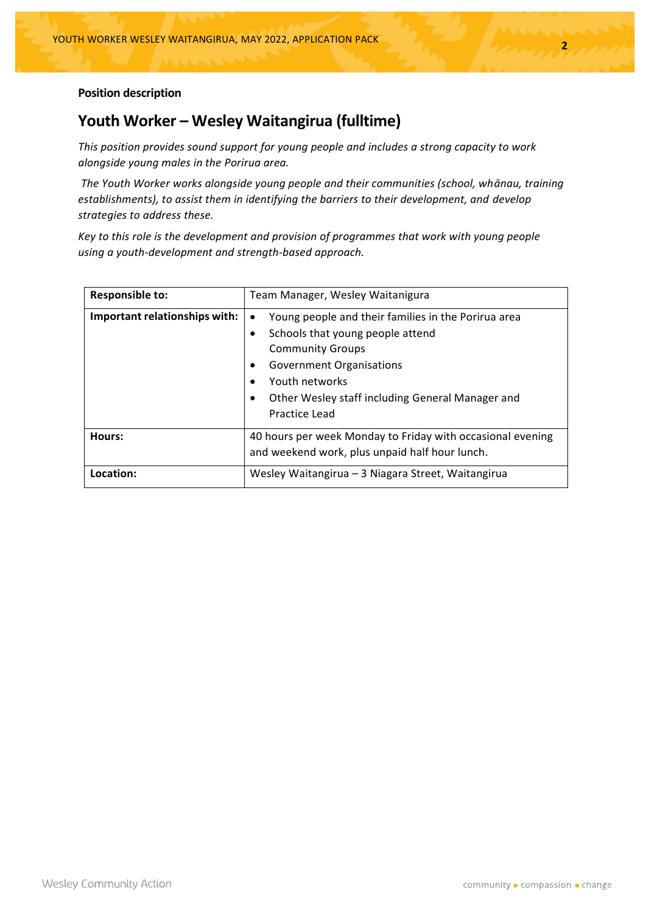### **Position description**

### **Youth Worker – Wesley Waitangirua (fulltime)**

*This position provides sound support for young people and includes a strong capacity to work alongside young males in the Porirua area.*

*The Youth Worker works alongside young people and their communities (school, whānau, training establishments), to assist them in identifying the barriers to their development, and develop strategies to address these.* 

*Key to this role is the development and provision of programmes that work with young people using a youth-development and strength-based approach.*

| <b>Responsible to:</b>        | Team Manager, Wesley Waitanigura                                                                                                                                                                                                                                                                 |
|-------------------------------|--------------------------------------------------------------------------------------------------------------------------------------------------------------------------------------------------------------------------------------------------------------------------------------------------|
| Important relationships with: | Young people and their families in the Porirua area<br>$\bullet$<br>Schools that young people attend<br>$\bullet$<br><b>Community Groups</b><br><b>Government Organisations</b><br>Youth networks<br>$\bullet$<br>Other Wesley staff including General Manager and<br>$\bullet$<br>Practice Lead |
| Hours:                        | 40 hours per week Monday to Friday with occasional evening<br>and weekend work, plus unpaid half hour lunch.                                                                                                                                                                                     |
| Location:                     | Wesley Waitangirua - 3 Niagara Street, Waitangirua                                                                                                                                                                                                                                               |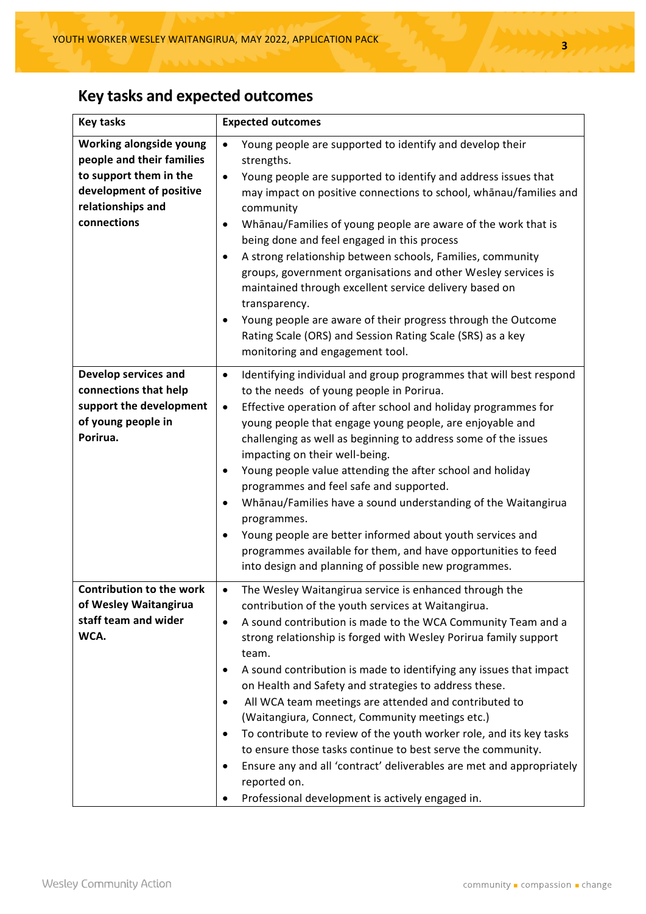# **Key tasks and expected outcomes**

| <b>Key tasks</b>                                                                                                                              | <b>Expected outcomes</b>                                                                                                                                                                                                                                                                                                                                                                                                                                                                                                                                                                                                                                                                                                                                                                                                     |  |  |
|-----------------------------------------------------------------------------------------------------------------------------------------------|------------------------------------------------------------------------------------------------------------------------------------------------------------------------------------------------------------------------------------------------------------------------------------------------------------------------------------------------------------------------------------------------------------------------------------------------------------------------------------------------------------------------------------------------------------------------------------------------------------------------------------------------------------------------------------------------------------------------------------------------------------------------------------------------------------------------------|--|--|
| Working alongside young<br>people and their families<br>to support them in the<br>development of positive<br>relationships and<br>connections | Young people are supported to identify and develop their<br>$\bullet$<br>strengths.<br>Young people are supported to identify and address issues that<br>$\bullet$<br>may impact on positive connections to school, whanau/families and<br>community<br>Whānau/Families of young people are aware of the work that is<br>$\bullet$<br>being done and feel engaged in this process<br>A strong relationship between schools, Families, community<br>٠<br>groups, government organisations and other Wesley services is<br>maintained through excellent service delivery based on<br>transparency.<br>Young people are aware of their progress through the Outcome<br>٠<br>Rating Scale (ORS) and Session Rating Scale (SRS) as a key<br>monitoring and engagement tool.                                                       |  |  |
| Develop services and<br>connections that help<br>support the development<br>of young people in<br>Porirua.                                    | Identifying individual and group programmes that will best respond<br>$\bullet$<br>to the needs of young people in Porirua.<br>Effective operation of after school and holiday programmes for<br>$\bullet$<br>young people that engage young people, are enjoyable and<br>challenging as well as beginning to address some of the issues<br>impacting on their well-being.<br>Young people value attending the after school and holiday<br>٠<br>programmes and feel safe and supported.<br>Whānau/Families have a sound understanding of the Waitangirua<br>٠<br>programmes.<br>Young people are better informed about youth services and<br>٠<br>programmes available for them, and have opportunities to feed<br>into design and planning of possible new programmes.                                                      |  |  |
| <b>Contribution to the work</b><br>of Wesley Waitangirua<br>staff team and wider<br>WCA.                                                      | The Wesley Waitangirua service is enhanced through the<br>$\bullet$<br>contribution of the youth services at Waitangirua.<br>A sound contribution is made to the WCA Community Team and a<br>٠<br>strong relationship is forged with Wesley Porirua family support<br>team.<br>A sound contribution is made to identifying any issues that impact<br>٠<br>on Health and Safety and strategies to address these.<br>All WCA team meetings are attended and contributed to<br>٠<br>(Waitangiura, Connect, Community meetings etc.)<br>To contribute to review of the youth worker role, and its key tasks<br>٠<br>to ensure those tasks continue to best serve the community.<br>Ensure any and all 'contract' deliverables are met and appropriately<br>٠<br>reported on.<br>Professional development is actively engaged in. |  |  |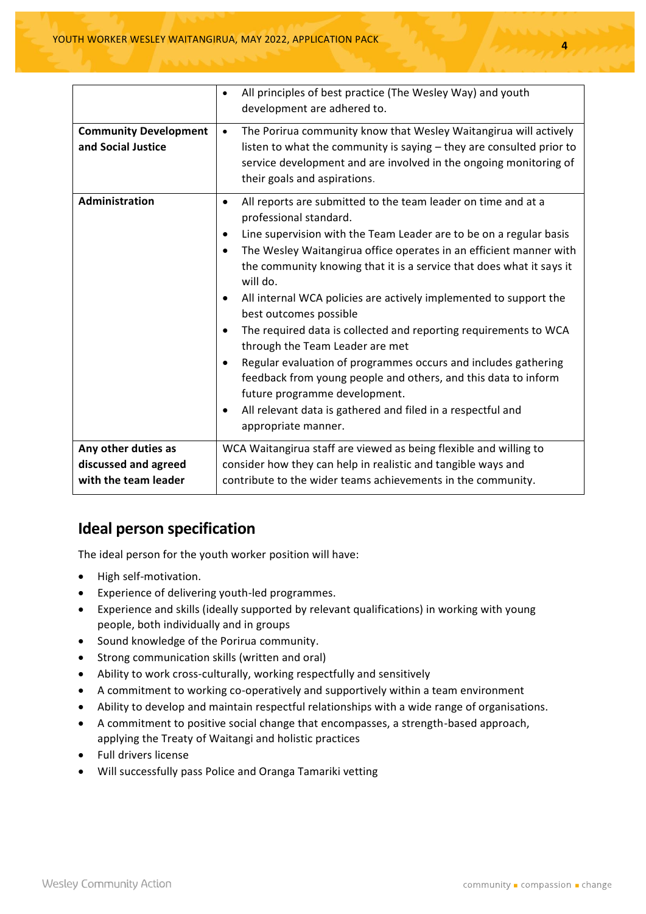|                                                                     | All principles of best practice (The Wesley Way) and youth<br>$\bullet$<br>development are adhered to.                                                                                                                                                                                                                                                                                                                                                                                                                                                                                                                                                                                                                                                                                                                                                                      |
|---------------------------------------------------------------------|-----------------------------------------------------------------------------------------------------------------------------------------------------------------------------------------------------------------------------------------------------------------------------------------------------------------------------------------------------------------------------------------------------------------------------------------------------------------------------------------------------------------------------------------------------------------------------------------------------------------------------------------------------------------------------------------------------------------------------------------------------------------------------------------------------------------------------------------------------------------------------|
| <b>Community Development</b><br>and Social Justice                  | The Porirua community know that Wesley Waitangirua will actively<br>$\bullet$<br>listen to what the community is saying - they are consulted prior to<br>service development and are involved in the ongoing monitoring of<br>their goals and aspirations.                                                                                                                                                                                                                                                                                                                                                                                                                                                                                                                                                                                                                  |
| Administration                                                      | All reports are submitted to the team leader on time and at a<br>$\bullet$<br>professional standard.<br>Line supervision with the Team Leader are to be on a regular basis<br>$\bullet$<br>The Wesley Waitangirua office operates in an efficient manner with<br>$\bullet$<br>the community knowing that it is a service that does what it says it<br>will do.<br>All internal WCA policies are actively implemented to support the<br>$\bullet$<br>best outcomes possible<br>The required data is collected and reporting requirements to WCA<br>$\bullet$<br>through the Team Leader are met<br>Regular evaluation of programmes occurs and includes gathering<br>$\bullet$<br>feedback from young people and others, and this data to inform<br>future programme development.<br>All relevant data is gathered and filed in a respectful and<br>٠<br>appropriate manner. |
| Any other duties as<br>discussed and agreed<br>with the team leader | WCA Waitangirua staff are viewed as being flexible and willing to<br>consider how they can help in realistic and tangible ways and<br>contribute to the wider teams achievements in the community.                                                                                                                                                                                                                                                                                                                                                                                                                                                                                                                                                                                                                                                                          |

# **Ideal person specification**

The ideal person for the youth worker position will have:

- High self-motivation.
- Experience of delivering youth-led programmes.
- Experience and skills (ideally supported by relevant qualifications) in working with young people, both individually and in groups
- Sound knowledge of the Porirua community.
- Strong communication skills (written and oral)
- Ability to work cross-culturally, working respectfully and sensitively
- A commitment to working co-operatively and supportively within a team environment
- Ability to develop and maintain respectful relationships with a wide range of organisations.
- A commitment to positive social change that encompasses, a strength-based approach, applying the Treaty of Waitangi and holistic practices
- Full drivers license
- Will successfully pass Police and Oranga Tamariki vetting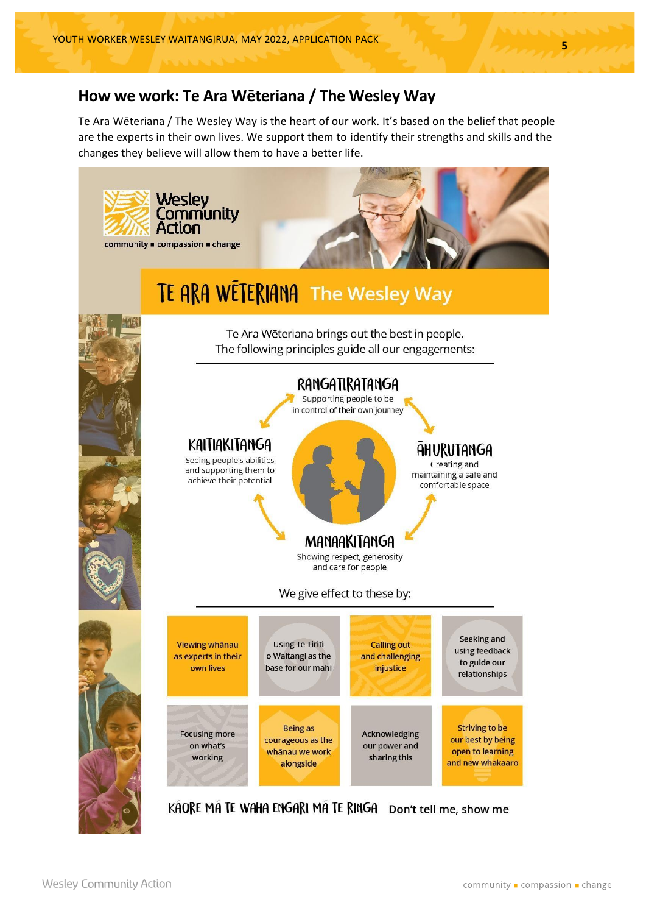# **How we work: Te Ara Wēteriana / The Wesley Way**

Te Ara Wēteriana / The Wesley Way is the heart of our work. It's based on the belief that people are the experts in their own lives. We support them to identify their strengths and skills and the changes they believe will allow them to have a better life.